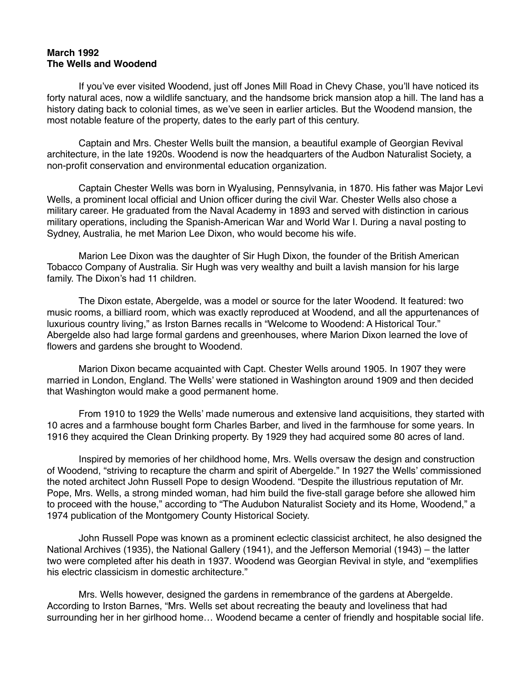## **March 1992 The Wells and Woodend**

 If you've ever visited Woodend, just off Jones Mill Road in Chevy Chase, you'll have noticed its forty natural aces, now a wildlife sanctuary, and the handsome brick mansion atop a hill. The land has a history dating back to colonial times, as we've seen in earlier articles. But the Woodend mansion, the most notable feature of the property, dates to the early part of this century.

 Captain and Mrs. Chester Wells built the mansion, a beautiful example of Georgian Revival architecture, in the late 1920s. Woodend is now the headquarters of the Audbon Naturalist Society, a non-profit conservation and environmental education organization.

 Captain Chester Wells was born in Wyalusing, Pennsylvania, in 1870. His father was Major Levi Wells, a prominent local official and Union officer during the civil War. Chester Wells also chose a military career. He graduated from the Naval Academy in 1893 and served with distinction in carious military operations, including the Spanish-American War and World War I. During a naval posting to Sydney, Australia, he met Marion Lee Dixon, who would become his wife.

 Marion Lee Dixon was the daughter of Sir Hugh Dixon, the founder of the British American Tobacco Company of Australia. Sir Hugh was very wealthy and built a lavish mansion for his large family. The Dixon's had 11 children.

 The Dixon estate, Abergelde, was a model or source for the later Woodend. It featured: two music rooms, a billiard room, which was exactly reproduced at Woodend, and all the appurtenances of luxurious country living," as Irston Barnes recalls in "Welcome to Woodend: A Historical Tour." Abergelde also had large formal gardens and greenhouses, where Marion Dixon learned the love of flowers and gardens she brought to Woodend.

 Marion Dixon became acquainted with Capt. Chester Wells around 1905. In 1907 they were married in London, England. The Wells' were stationed in Washington around 1909 and then decided that Washington would make a good permanent home.

 From 1910 to 1929 the Wells' made numerous and extensive land acquisitions, they started with 10 acres and a farmhouse bought form Charles Barber, and lived in the farmhouse for some years. In 1916 they acquired the Clean Drinking property. By 1929 they had acquired some 80 acres of land.

 Inspired by memories of her childhood home, Mrs. Wells oversaw the design and construction of Woodend, "striving to recapture the charm and spirit of Abergelde." In 1927 the Wells' commissioned the noted architect John Russell Pope to design Woodend. "Despite the illustrious reputation of Mr. Pope, Mrs. Wells, a strong minded woman, had him build the five-stall garage before she allowed him to proceed with the house," according to "The Audubon Naturalist Society and its Home, Woodend," a 1974 publication of the Montgomery County Historical Society.

 John Russell Pope was known as a prominent eclectic classicist architect, he also designed the National Archives (1935), the National Gallery (1941), and the Jefferson Memorial (1943) – the latter two were completed after his death in 1937. Woodend was Georgian Revival in style, and "exemplifies his electric classicism in domestic architecture."

 Mrs. Wells however, designed the gardens in remembrance of the gardens at Abergelde. According to Irston Barnes, "Mrs. Wells set about recreating the beauty and loveliness that had surrounding her in her girlhood home… Woodend became a center of friendly and hospitable social life.